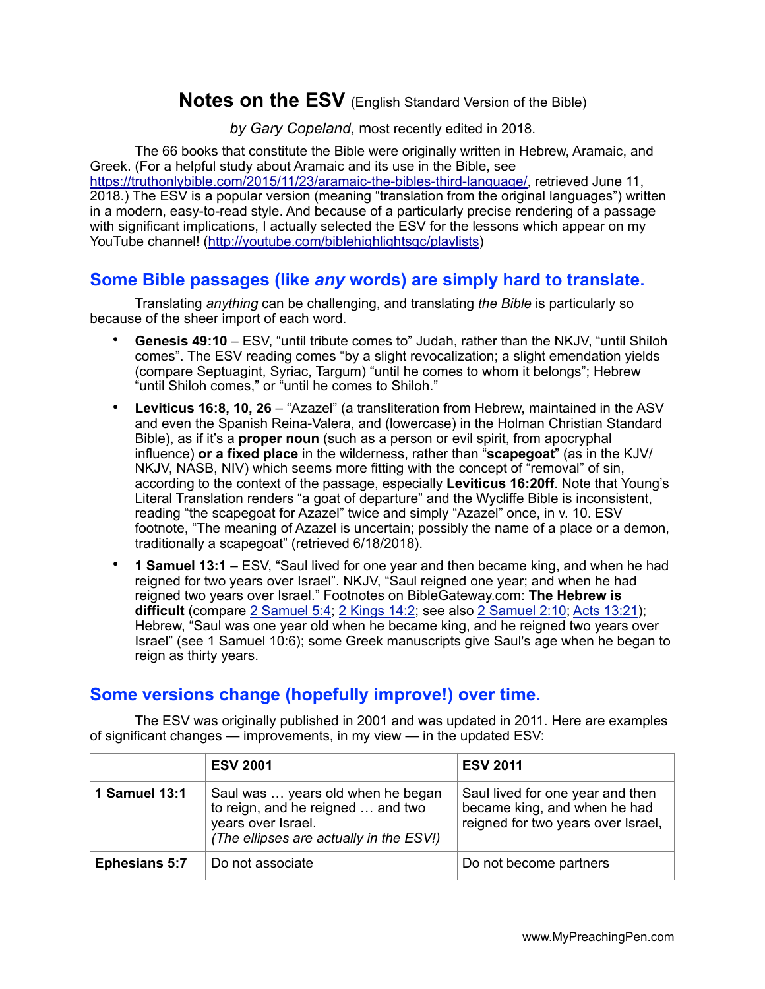## **Notes on the ESV** (English Standard Version of the Bible)

*by Gary Copeland*, most recently edited in 2018.

 The 66 books that constitute the Bible were originally written in Hebrew, Aramaic, and Greek. (For a helpful study about Aramaic and its use in the Bible, see <https://truthonlybible.com/2015/11/23/aramaic-the-bibles-third-language/>, retrieved June 11, 2018.) The ESV is a popular version (meaning "translation from the original languages") written in a modern, easy-to-read style. And because of a particularly precise rendering of a passage with significant implications, I actually selected the ESV for the lessons which appear on my YouTube channel! ([http://youtube.com/biblehighlightsgc/playlists\)](http://youtube.com/biblehighlightsgc/playlists)

### **Some Bible passages (like** *any* **words) are simply hard to translate.**

 Translating *anything* can be challenging, and translating *the Bible* is particularly so because of the sheer import of each word.

- **Genesis 49:10**  ESV, "until tribute comes to" Judah, rather than the NKJV, "until Shiloh comes". The ESV reading comes "by a slight revocalization; a slight emendation yields (compare Septuagint, Syriac, Targum) "until he comes to whom it belongs"; Hebrew "until Shiloh comes," or "until he comes to Shiloh."
- **Leviticus 16:8, 10, 26** "Azazel" (a transliteration from Hebrew, maintained in the ASV and even the Spanish Reina-Valera, and (lowercase) in the Holman Christian Standard Bible), as if it's a **proper noun** (such as a person or evil spirit, from apocryphal influence) **or a fixed place** in the wilderness, rather than "**scapegoat**" (as in the KJV/ NKJV, NASB, NIV) which seems more fitting with the concept of "removal" of sin, according to the context of the passage, especially **Leviticus 16:20ff**. Note that Young's Literal Translation renders "a goat of departure" and the Wycliffe Bible is inconsistent, reading "the scapegoat for Azazel" twice and simply "Azazel" once, in v. 10. ESV footnote, "The meaning of Azazel is uncertain; possibly the name of a place or a demon, traditionally a scapegoat" (retrieved 6/18/2018).
- **1 Samuel 13:1** ESV, "Saul lived for one year and then became king, and when he had reigned for two years over Israel". NKJV, "Saul reigned one year; and when he had reigned two years over Israel." Footnotes on BibleGateway.com: **The Hebrew is difficult** (compare [2 Samuel 5:4](http://www.biblegateway.com/passage/?search=2Sam.5.4&version=NKJV); [2 Kings 14:2](http://www.biblegateway.com/passage/?search=2Kgs.14.2&version=NKJV); see also [2 Samuel 2:10](http://www.biblegateway.com/passage/?search=2Sam.2.10&version=NKJV); [Acts 13:21\)](http://www.biblegateway.com/passage/?search=Acts.13.21&version=NKJV); Hebrew, "Saul was one year old when he became king, and he reigned two years over Israel" (see [1 Samuel 10:6](http://www.biblegateway.com/passage/?search=1Sam.10.6&version=ESV)); some Greek manuscripts give Saul's age when he began to reign as thirty years.

# **Some versions change (hopefully improve!) over time.**

The ESV was originally published in 2001 and was updated in 2011. Here are examples of significant changes — improvements, in my view — in the updated ESV:

|                      | <b>ESV 2001</b>                                                                                                                         | <b>ESV 2011</b>                                                                                        |
|----------------------|-----------------------------------------------------------------------------------------------------------------------------------------|--------------------------------------------------------------------------------------------------------|
| <b>1 Samuel 13:1</b> | Saul was  years old when he began<br>to reign, and he reigned  and two<br>years over Israel.<br>(The ellipses are actually in the ESV!) | Saul lived for one year and then<br>became king, and when he had<br>reigned for two years over Israel, |
| <b>Ephesians 5:7</b> | Do not associate                                                                                                                        | Do not become partners                                                                                 |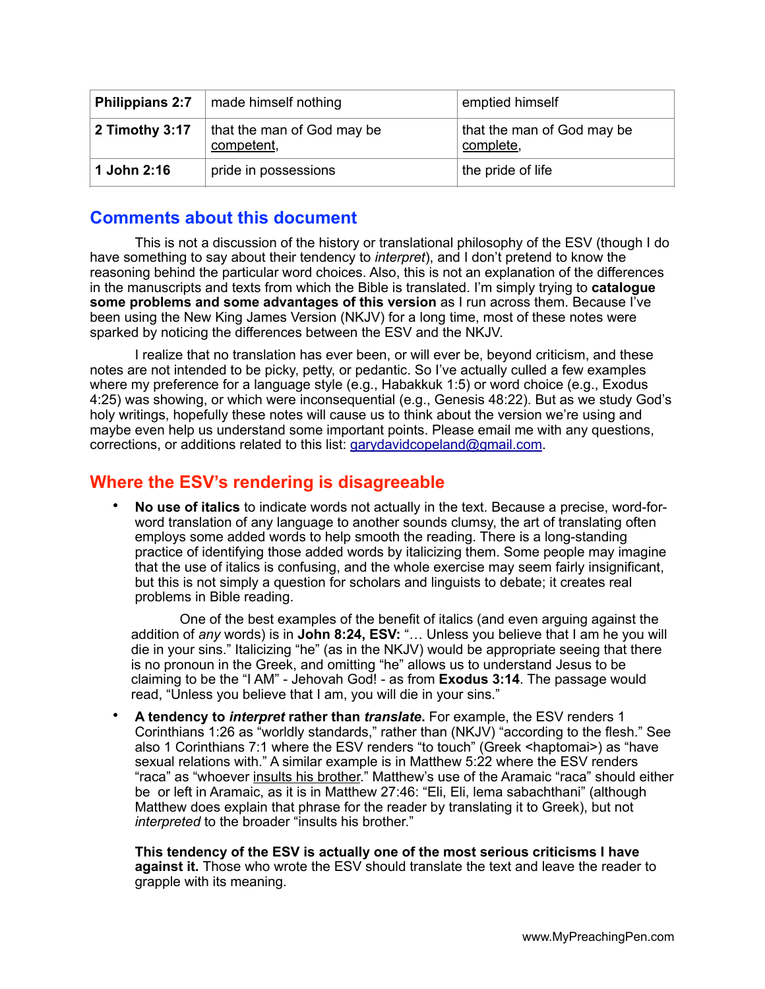| <b>Philippians 2:7</b> | made himself nothing                     | emptied himself                         |
|------------------------|------------------------------------------|-----------------------------------------|
| 2 Timothy 3:17         | that the man of God may be<br>competent, | that the man of God may be<br>complete, |
| 1 John 2:16            | pride in possessions                     | the pride of life                       |

# **Comments about this document**

 This is not a discussion of the history or translational philosophy of the ESV (though I do have something to say about their tendency to *interpret*), and I don't pretend to know the reasoning behind the particular word choices. Also, this is not an explanation of the differences in the manuscripts and texts from which the Bible is translated. I'm simply trying to **catalogue some problems and some advantages of this version** as I run across them. Because I've been using the New King James Version (NKJV) for a long time, most of these notes were sparked by noticing the differences between the ESV and the NKJV.

 I realize that no translation has ever been, or will ever be, beyond criticism, and these notes are not intended to be picky, petty, or pedantic. So I've actually culled a few examples where my preference for a language style (e.g., Habakkuk 1:5) or word choice (e.g., Exodus 4:25) was showing, or which were inconsequential (e.g., Genesis 48:22). But as we study God's holy writings, hopefully these notes will cause us to think about the version we're using and maybe even help us understand some important points. Please email me with any questions, corrections, or additions related to this list: [garydavidcopeland@gmail.com](mailto:garydavidcopeland@gmail.com?subject=ESV%20Notes).

# **Where the ESV's rendering is disagreeable**

• **No use of italics** to indicate words not actually in the text. Because a precise, word-forword translation of any language to another sounds clumsy, the art of translating often employs some added words to help smooth the reading. There is a long-standing practice of identifying those added words by italicizing them. Some people may imagine that the use of italics is confusing, and the whole exercise may seem fairly insignificant, but this is not simply a question for scholars and linguists to debate; it creates real problems in Bible reading.

 One of the best examples of the benefit of italics (and even arguing against the addition of *any* words) is in **John 8:24, ESV:** "… Unless you believe that I am he you will die in your sins." Italicizing "he" (as in the NKJV) would be appropriate seeing that there is no pronoun in the Greek, and omitting "he" allows us to understand Jesus to be claiming to be the "I AM" - Jehovah God! - as from **Exodus 3:14**. The passage would read, "Unless you believe that I am, you will die in your sins."

• **A tendency to** *interpret* **rather than** *translate***.** For example, the ESV renders 1 Corinthians 1:26 as "worldly standards," rather than (NKJV) "according to the flesh." See also 1 Corinthians 7:1 where the ESV renders "to touch" (Greek <haptomai>) as "have sexual relations with." A similar example is in Matthew 5:22 where the ESV renders "raca" as "whoever insults his brother." Matthew's use of the Aramaic "raca" should either be or left in Aramaic, as it is in Matthew 27:46: "Eli, Eli, lema sabachthani" (although Matthew does explain that phrase for the reader by translating it to Greek), but not *interpreted* to the broader "insults his brother."

**This tendency of the ESV is actually one of the most serious criticisms I have against it.** Those who wrote the ESV should translate the text and leave the reader to grapple with its meaning.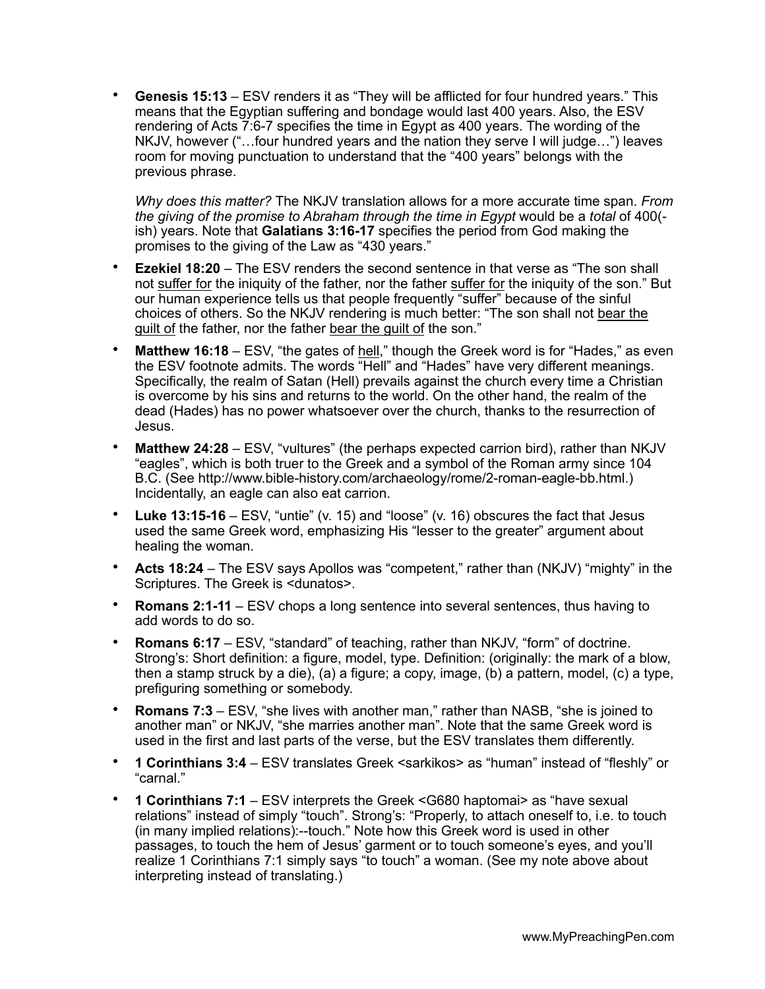• **Genesis 15:13** – ESV renders it as "They will be afflicted for four hundred years." This means that the Egyptian suffering and bondage would last 400 years. Also, the ESV rendering of Acts 7:6-7 specifies the time in Egypt as 400 years. The wording of the NKJV, however ("…four hundred years and the nation they serve I will judge…") leaves room for moving punctuation to understand that the "400 years" belongs with the previous phrase.

*Why does this matter?* The NKJV translation allows for a more accurate time span. *From the giving of the promise to Abraham through the time in Egypt* would be a *total* of 400( ish) years. Note that **Galatians 3:16-17** specifies the period from God making the promises to the giving of the Law as "430 years."

- **Ezekiel 18:20** The ESV renders the second sentence in that verse as "The son shall not suffer for the iniquity of the father, nor the father suffer for the iniquity of the son." But our human experience tells us that people frequently "suffer" because of the sinful choices of others. So the NKJV rendering is much better: "The son shall not bear the guilt of the father, nor the father bear the guilt of the son."
- **Matthew 16:18** ESV, "the gates of hell," though the Greek word is for "Hades," as even the ESV footnote admits. The words "Hell" and "Hades" have very different meanings. Specifically, the realm of Satan (Hell) prevails against the church every time a Christian is overcome by his sins and returns to the world. On the other hand, the realm of the dead (Hades) has no power whatsoever over the church, thanks to the resurrection of Jesus.
- **Matthew 24:28** ESV, "vultures" (the perhaps expected carrion bird), rather than NKJV "eagles", which is both truer to the Greek and a symbol of the Roman army since 104 B.C. (See http://www.bible-history.com/archaeology/rome/2-roman-eagle-bb.html.) Incidentally, an eagle can also eat carrion.
- **Luke 13:15-16** ESV, "untie" (v. 15) and "loose" (v. 16) obscures the fact that Jesus used the same Greek word, emphasizing His "lesser to the greater" argument about healing the woman.
- **Acts 18:24** The ESV says Apollos was "competent," rather than (NKJV) "mighty" in the Scriptures. The Greek is <dunatos>.
- **Romans 2:1-11** ESV chops a long sentence into several sentences, thus having to add words to do so.
- **Romans 6:17** ESV, "standard" of teaching, rather than NKJV, "form" of doctrine. Strong's: Short definition: a figure, model, type. Definition: (originally: the mark of a blow, then a stamp struck by a die), (a) a figure; a copy, image, (b) a pattern, model, (c) a type, prefiguring something or somebody.
- **Romans 7:3** ESV, "she lives with another man," rather than NASB, "she is joined to another man" or NKJV, "she marries another man". Note that the same Greek word is used in the first and last parts of the verse, but the ESV translates them differently.
- **1 Corinthians 3:4** ESV translates Greek <sarkikos> as "human" instead of "fleshly" or "carnal."
- **1 Corinthians 7:1** ESV interprets the Greek <G680 haptomai> as "have sexual relations" instead of simply "touch". Strong's: "Properly, to attach oneself to, i.e. to touch (in many implied relations):--touch." Note how this Greek word is used in other passages, to touch the hem of Jesus' garment or to touch someone's eyes, and you'll realize 1 Corinthians 7:1 simply says "to touch" a woman. (See my note above about interpreting instead of translating.)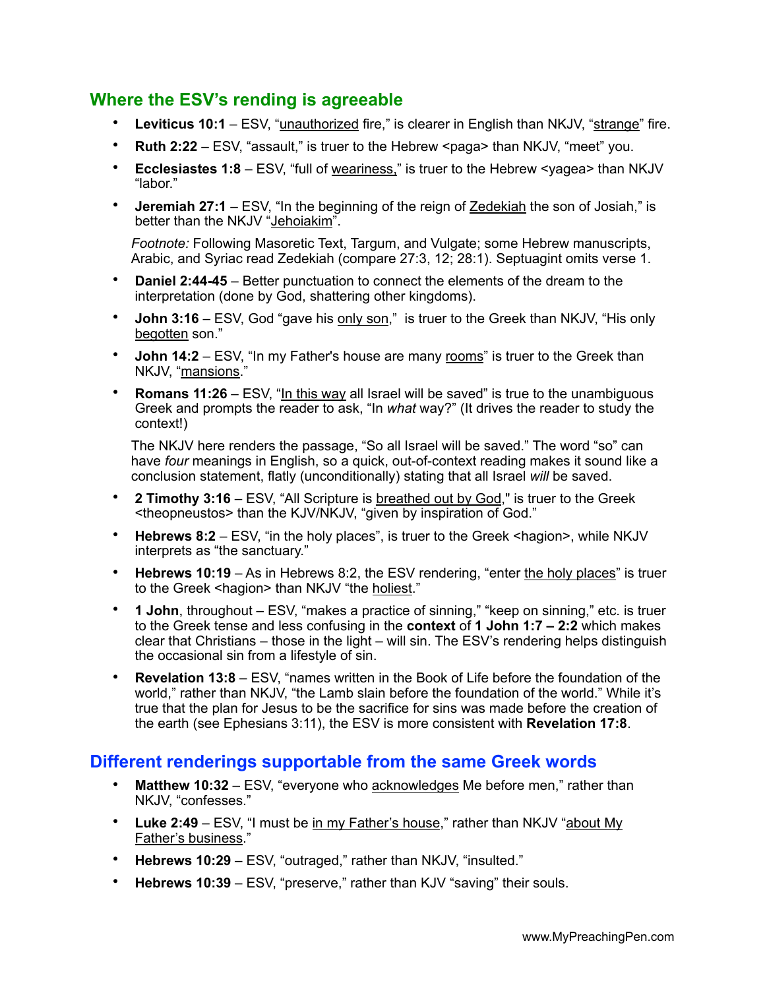## **Where the ESV's rending is agreeable**

- Leviticus 10:1 ESV, "unauthorized fire," is clearer in English than NKJV, "strange" fire.
- **Ruth 2:22** ESV, "assault," is truer to the Hebrew <paga> than NKJV, "meet" you.
- **Ecclesiastes 1:8** ESV, "full of weariness," is truer to the Hebrew <yagea> than NKJV "labor."
- **Jeremiah 27:1** ESV, "In the beginning of the reign of Zedekiah the son of Josiah," is better than the NKJV "Jehoiakim".

*Footnote:* Following Masoretic Text, Targum, and Vulgate; some Hebrew manuscripts, Arabic, and Syriac read Zedekiah (compare 27:3, 12; 28:1). Septuagint omits verse 1.

- **Daniel 2:44-45** Better punctuation to connect the elements of the dream to the interpretation (done by God, shattering other kingdoms).
- **John 3:16** ESV, God "gave his only son," is truer to the Greek than NKJV, "His only begotten son."
- **John 14:2** ESV, "In my Father's house are many rooms" is truer to the Greek than NKJV, "mansions."
- **Romans 11:26** ESV, "In this way all Israel will be saved" is true to the unambiguous Greek and prompts the reader to ask, "In *what* way?" (It drives the reader to study the context!)

The NKJV here renders the passage, "So all Israel will be saved." The word "so" can have *four* meanings in English, so a quick, out-of-context reading makes it sound like a conclusion statement, flatly (unconditionally) stating that all Israel *will* be saved.

- **2 Timothy 3:16**  ESV, "All Scripture is breathed out by God," is truer to the Greek <theopneustos> than the KJV/NKJV, "given by inspiration of God."
- **Hebrews 8:2** ESV, "in the holy places", is truer to the Greek <hagion>, while NKJV interprets as "the sanctuary."
- **Hebrews 10:19** As in Hebrews 8:2, the ESV rendering, "enter the holy places" is truer to the Greek <hagion> than NKJV "the holiest."
- **1 John**, throughout ESV, "makes a practice of sinning," "keep on sinning," etc. is truer to the Greek tense and less confusing in the **context** of **1 John 1:7 – 2:2** which makes clear that Christians – those in the light – will sin. The ESV's rendering helps distinguish the occasional sin from a lifestyle of sin.
- **Revelation 13:8** ESV, "names written in the Book of Life before the foundation of the world," rather than NKJV, "the Lamb slain before the foundation of the world." While it's true that the plan for Jesus to be the sacrifice for sins was made before the creation of the earth (see Ephesians 3:11), the ESV is more consistent with **Revelation 17:8**.

### **Different renderings supportable from the same Greek words**

- **Matthew 10:32** ESV, "everyone who acknowledges Me before men," rather than NKJV, "confesses."
- **Luke 2:49** ESV, "I must be in my Father's house," rather than NKJV "about My Father's business."
- **Hebrews 10:29**  ESV, "outraged," rather than NKJV, "insulted."
- **Hebrews 10:39** ESV, "preserve," rather than KJV "saving" their souls.